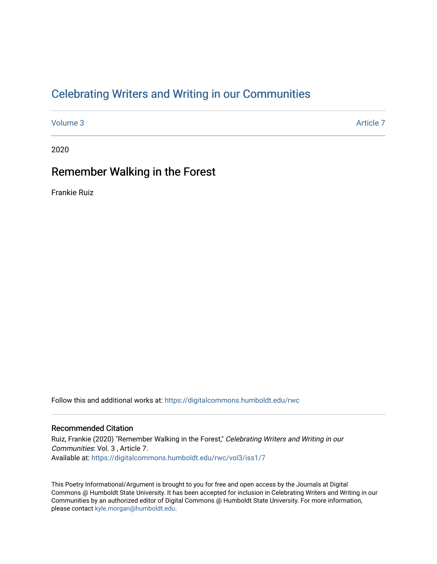## [Celebrating Writers and Writing in our Communities](https://digitalcommons.humboldt.edu/rwc)

[Volume 3](https://digitalcommons.humboldt.edu/rwc/vol3) Article 7

2020

### Remember Walking in the Forest

Frankie Ruiz

Follow this and additional works at: [https://digitalcommons.humboldt.edu/rwc](https://digitalcommons.humboldt.edu/rwc?utm_source=digitalcommons.humboldt.edu%2Frwc%2Fvol3%2Fiss1%2F7&utm_medium=PDF&utm_campaign=PDFCoverPages) 

#### Recommended Citation

Ruiz, Frankie (2020) "Remember Walking in the Forest," Celebrating Writers and Writing in our Communities: Vol. 3 , Article 7. Available at: [https://digitalcommons.humboldt.edu/rwc/vol3/iss1/7](https://digitalcommons.humboldt.edu/rwc/vol3/iss1/7?utm_source=digitalcommons.humboldt.edu%2Frwc%2Fvol3%2Fiss1%2F7&utm_medium=PDF&utm_campaign=PDFCoverPages) 

This Poetry Informational/Argument is brought to you for free and open access by the Journals at Digital Commons @ Humboldt State University. It has been accepted for inclusion in Celebrating Writers and Writing in our Communities by an authorized editor of Digital Commons @ Humboldt State University. For more information, please contact [kyle.morgan@humboldt.edu.](mailto:kyle.morgan@humboldt.edu)